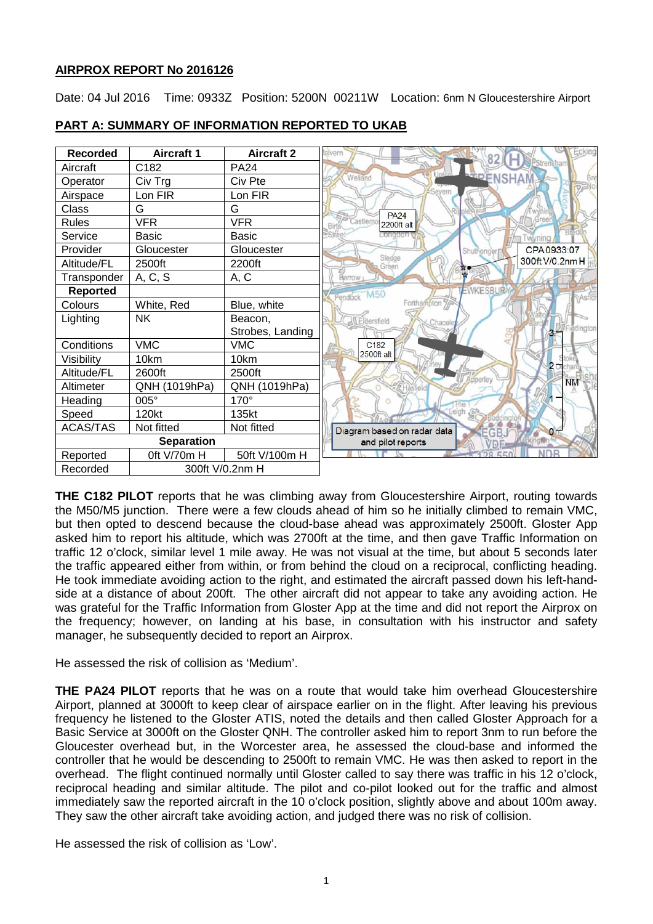### **AIRPROX REPORT No 2016126**

Date: 04 Jul 2016 Time: 0933Z Position: 5200N 00211W Location: 6nm N Gloucestershire Airport



# **PART A: SUMMARY OF INFORMATION REPORTED TO UKAB**

**THE C182 PILOT** reports that he was climbing away from Gloucestershire Airport, routing towards the M50/M5 junction. There were a few clouds ahead of him so he initially climbed to remain VMC, but then opted to descend because the cloud-base ahead was approximately 2500ft. Gloster App asked him to report his altitude, which was 2700ft at the time, and then gave Traffic Information on traffic 12 o'clock, similar level 1 mile away. He was not visual at the time, but about 5 seconds later the traffic appeared either from within, or from behind the cloud on a reciprocal, conflicting heading. He took immediate avoiding action to the right, and estimated the aircraft passed down his left-handside at a distance of about 200ft. The other aircraft did not appear to take any avoiding action. He was grateful for the Traffic Information from Gloster App at the time and did not report the Airprox on the frequency; however, on landing at his base, in consultation with his instructor and safety manager, he subsequently decided to report an Airprox.

He assessed the risk of collision as 'Medium'.

**THE PA24 PILOT** reports that he was on a route that would take him overhead Gloucestershire Airport, planned at 3000ft to keep clear of airspace earlier on in the flight. After leaving his previous frequency he listened to the Gloster ATIS, noted the details and then called Gloster Approach for a Basic Service at 3000ft on the Gloster QNH. The controller asked him to report 3nm to run before the Gloucester overhead but, in the Worcester area, he assessed the cloud-base and informed the controller that he would be descending to 2500ft to remain VMC. He was then asked to report in the overhead. The flight continued normally until Gloster called to say there was traffic in his 12 o'clock, reciprocal heading and similar altitude. The pilot and co-pilot looked out for the traffic and almost immediately saw the reported aircraft in the 10 o'clock position, slightly above and about 100m away. They saw the other aircraft take avoiding action, and judged there was no risk of collision.

He assessed the risk of collision as 'Low'.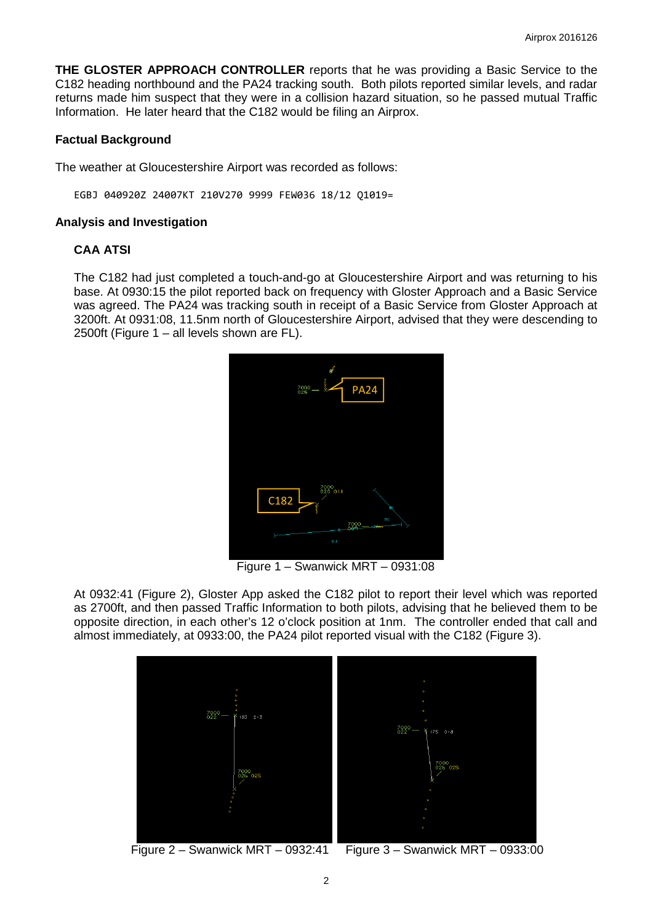**THE GLOSTER APPROACH CONTROLLER** reports that he was providing a Basic Service to the C182 heading northbound and the PA24 tracking south. Both pilots reported similar levels, and radar returns made him suspect that they were in a collision hazard situation, so he passed mutual Traffic Information. He later heard that the C182 would be filing an Airprox.

#### **Factual Background**

The weather at Gloucestershire Airport was recorded as follows:

EGBJ 040920Z 24007KT 210V270 9999 FEW036 18/12 Q1019=

#### **Analysis and Investigation**

#### **CAA ATSI**

The C182 had just completed a touch-and-go at Gloucestershire Airport and was returning to his base. At 0930:15 the pilot reported back on frequency with Gloster Approach and a Basic Service was agreed. The PA24 was tracking south in receipt of a Basic Service from Gloster Approach at 3200ft. At 0931:08, 11.5nm north of Gloucestershire Airport, advised that they were descending to 2500ft (Figure 1 – all levels shown are FL).



Figure 1 – Swanwick MRT – 0931:08

At 0932:41 (Figure 2), Gloster App asked the C182 pilot to report their level which was reported as 2700ft, and then passed Traffic Information to both pilots, advising that he believed them to be opposite direction, in each other's 12 o'clock position at 1nm. The controller ended that call and almost immediately, at 0933:00, the PA24 pilot reported visual with the C182 (Figure 3).



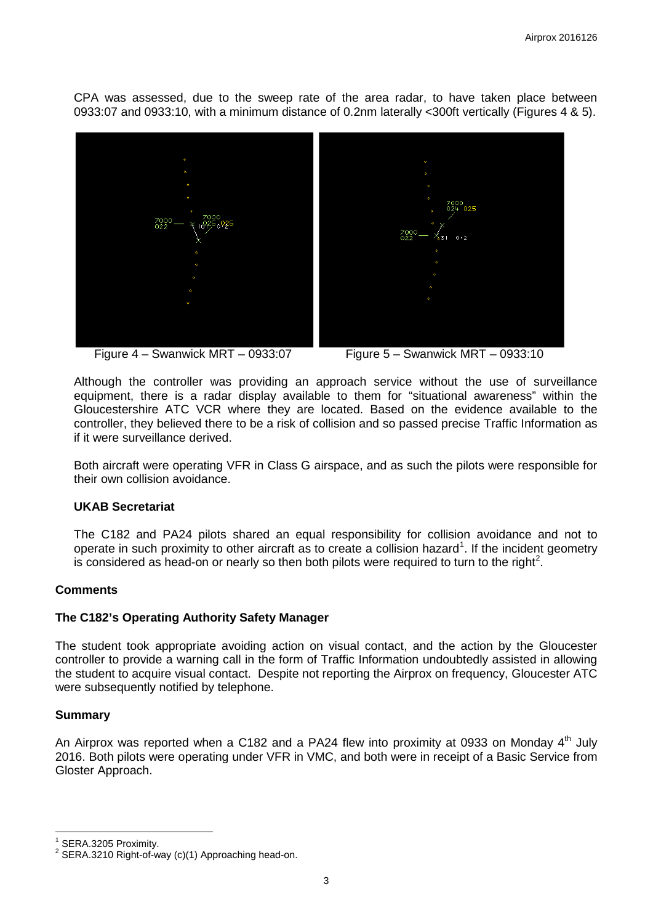CPA was assessed, due to the sweep rate of the area radar, to have taken place between 0933:07 and 0933:10, with a minimum distance of 0.2nm laterally <300ft vertically (Figures 4 & 5).





Although the controller was providing an approach service without the use of surveillance equipment, there is a radar display available to them for "situational awareness" within the Gloucestershire ATC VCR where they are located. Based on the evidence available to the controller, they believed there to be a risk of collision and so passed precise Traffic Information as if it were surveillance derived.

Both aircraft were operating VFR in Class G airspace, and as such the pilots were responsible for their own collision avoidance.

#### **UKAB Secretariat**

The C182 and PA24 pilots shared an equal responsibility for collision avoidance and not to operate in such proximity to other aircraft as to create a collision hazard<sup>[1](#page-2-0)</sup>. If the incident geometry is considered as head-on or nearly so then both pilots were required to turn to the right<sup>[2](#page-2-1)</sup>.

### **Comments**

### **The C182's Operating Authority Safety Manager**

The student took appropriate avoiding action on visual contact, and the action by the Gloucester controller to provide a warning call in the form of Traffic Information undoubtedly assisted in allowing the student to acquire visual contact. Despite not reporting the Airprox on frequency, Gloucester ATC were subsequently notified by telephone.

### **Summary**

An Airprox was reported when a C182 and a PA24 flew into proximity at 0933 on Monday  $4<sup>th</sup>$  July 2016. Both pilots were operating under VFR in VMC, and both were in receipt of a Basic Service from Gloster Approach.

<span id="page-2-1"></span>

<span id="page-2-0"></span><sup>&</sup>lt;sup>1</sup> SERA.3205 Proximity.<br><sup>2</sup> SERA.3210 Right-of-way (c)(1) Approaching head-on.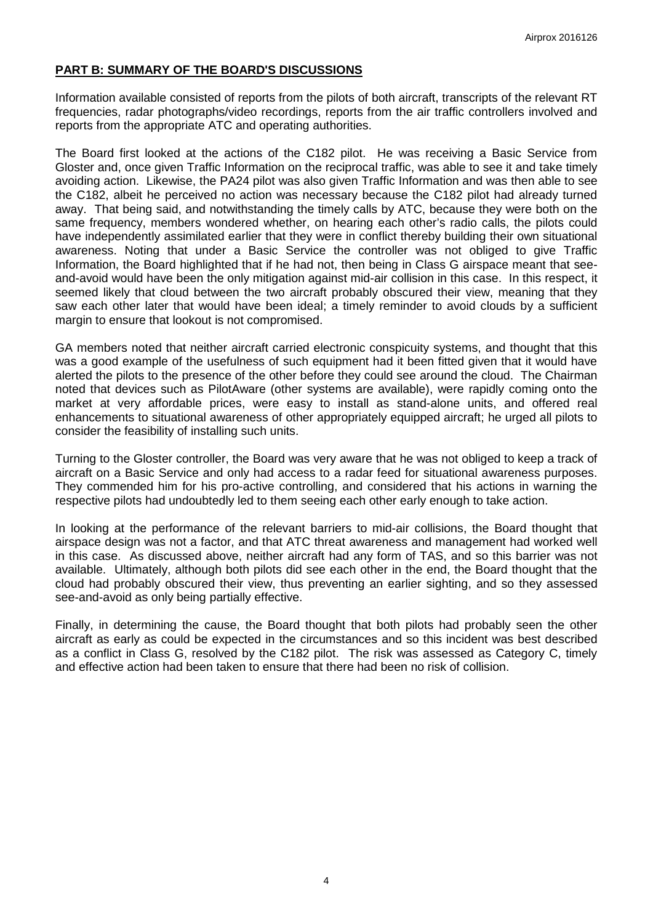## **PART B: SUMMARY OF THE BOARD'S DISCUSSIONS**

Information available consisted of reports from the pilots of both aircraft, transcripts of the relevant RT frequencies, radar photographs/video recordings, reports from the air traffic controllers involved and reports from the appropriate ATC and operating authorities.

The Board first looked at the actions of the C182 pilot. He was receiving a Basic Service from Gloster and, once given Traffic Information on the reciprocal traffic, was able to see it and take timely avoiding action. Likewise, the PA24 pilot was also given Traffic Information and was then able to see the C182, albeit he perceived no action was necessary because the C182 pilot had already turned away. That being said, and notwithstanding the timely calls by ATC, because they were both on the same frequency, members wondered whether, on hearing each other's radio calls, the pilots could have independently assimilated earlier that they were in conflict thereby building their own situational awareness. Noting that under a Basic Service the controller was not obliged to give Traffic Information, the Board highlighted that if he had not, then being in Class G airspace meant that seeand-avoid would have been the only mitigation against mid-air collision in this case. In this respect, it seemed likely that cloud between the two aircraft probably obscured their view, meaning that they saw each other later that would have been ideal; a timely reminder to avoid clouds by a sufficient margin to ensure that lookout is not compromised.

GA members noted that neither aircraft carried electronic conspicuity systems, and thought that this was a good example of the usefulness of such equipment had it been fitted given that it would have alerted the pilots to the presence of the other before they could see around the cloud. The Chairman noted that devices such as PilotAware (other systems are available), were rapidly coming onto the market at very affordable prices, were easy to install as stand-alone units, and offered real enhancements to situational awareness of other appropriately equipped aircraft; he urged all pilots to consider the feasibility of installing such units.

Turning to the Gloster controller, the Board was very aware that he was not obliged to keep a track of aircraft on a Basic Service and only had access to a radar feed for situational awareness purposes. They commended him for his pro-active controlling, and considered that his actions in warning the respective pilots had undoubtedly led to them seeing each other early enough to take action.

In looking at the performance of the relevant barriers to mid-air collisions, the Board thought that airspace design was not a factor, and that ATC threat awareness and management had worked well in this case. As discussed above, neither aircraft had any form of TAS, and so this barrier was not available. Ultimately, although both pilots did see each other in the end, the Board thought that the cloud had probably obscured their view, thus preventing an earlier sighting, and so they assessed see-and-avoid as only being partially effective.

Finally, in determining the cause, the Board thought that both pilots had probably seen the other aircraft as early as could be expected in the circumstances and so this incident was best described as a conflict in Class G, resolved by the C182 pilot. The risk was assessed as Category C, timely and effective action had been taken to ensure that there had been no risk of collision.